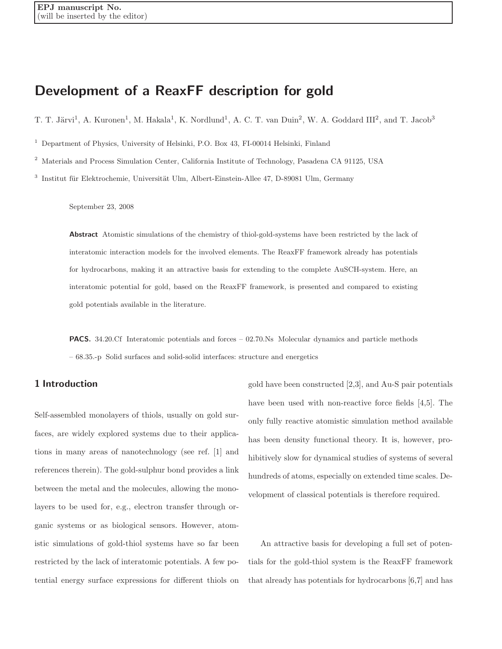# Development of a ReaxFF description for gold

T. T. Järvi<sup>1</sup>, A. Kuronen<sup>1</sup>, M. Hakala<sup>1</sup>, K. Nordlund<sup>1</sup>, A. C. T. van Duin<sup>2</sup>, W. A. Goddard III<sup>2</sup>, and T. Jacob<sup>3</sup>

<sup>1</sup> Department of Physics, University of Helsinki, P.O. Box 43, FI-00014 Helsinki, Finland

<sup>2</sup> Materials and Process Simulation Center, California Institute of Technology, Pasadena CA 91125, USA

 $3$  Institut für Elektrochemie, Universität Ulm, Albert-Einstein-Allee 47, D-89081 Ulm, Germany

September 23, 2008

Abstract Atomistic simulations of the chemistry of thiol-gold-systems have been restricted by the lack of interatomic interaction models for the involved elements. The ReaxFF framework already has potentials for hydrocarbons, making it an attractive basis for extending to the complete AuSCH-system. Here, an interatomic potential for gold, based on the ReaxFF framework, is presented and compared to existing gold potentials available in the literature.

PACS. 34.20.Cf Interatomic potentials and forces – 02.70.Ns Molecular dynamics and particle methods – 68.35.-p Solid surfaces and solid-solid interfaces: structure and energetics

# 1 Introduction

Self-assembled monolayers of thiols, usually on gold surfaces, are widely explored systems due to their applications in many areas of nanotechnology (see ref. [1] and references therein). The gold-sulphur bond provides a link between the metal and the molecules, allowing the monolayers to be used for, e.g., electron transfer through organic systems or as biological sensors. However, atomistic simulations of gold-thiol systems have so far been restricted by the lack of interatomic potentials. A few potential energy surface expressions for different thiols on

gold have been constructed [2,3], and Au-S pair potentials have been used with non-reactive force fields [4,5]. The only fully reactive atomistic simulation method available has been density functional theory. It is, however, prohibitively slow for dynamical studies of systems of several hundreds of atoms, especially on extended time scales. Development of classical potentials is therefore required.

An attractive basis for developing a full set of potentials for the gold-thiol system is the ReaxFF framework that already has potentials for hydrocarbons [6,7] and has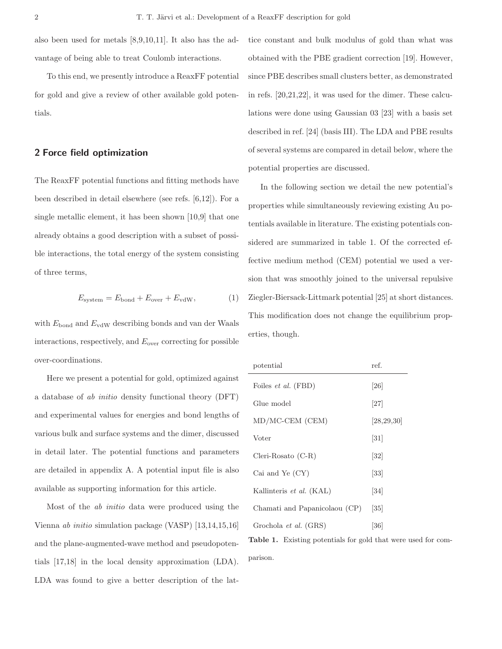also been used for metals [8,9,10,11]. It also has the advantage of being able to treat Coulomb interactions.

To this end, we presently introduce a ReaxFF potential for gold and give a review of other available gold potentials.

## 2 Force field optimization

The ReaxFF potential functions and fitting methods have been described in detail elsewhere (see refs. [6,12]). For a single metallic element, it has been shown [10,9] that one already obtains a good description with a subset of possible interactions, the total energy of the system consisting of three terms,

$$
E_{\text{system}} = E_{\text{bond}} + E_{\text{over}} + E_{\text{vdW}},\tag{1}
$$

with  $E_{\text{bond}}$  and  $E_{\text{vdW}}$  describing bonds and van der Waals interactions, respectively, and  $E_{over}$  correcting for possible over-coordinations.

Here we present a potential for gold, optimized against a database of ab initio density functional theory (DFT) and experimental values for energies and bond lengths of various bulk and surface systems and the dimer, discussed in detail later. The potential functions and parameters are detailed in appendix A. A potential input file is also available as supporting information for this article.

Most of the ab initio data were produced using the Vienna ab initio simulation package (VASP) [13,14,15,16] and the plane-augmented-wave method and pseudopotentials [17,18] in the local density approximation (LDA). LDA was found to give a better description of the lattice constant and bulk modulus of gold than what was obtained with the PBE gradient correction [19]. However, since PBE describes small clusters better, as demonstrated in refs. [20,21,22], it was used for the dimer. These calculations were done using Gaussian 03 [23] with a basis set described in ref. [24] (basis III). The LDA and PBE results of several systems are compared in detail below, where the potential properties are discussed.

In the following section we detail the new potential's properties while simultaneously reviewing existing Au potentials available in literature. The existing potentials considered are summarized in table 1. Of the corrected effective medium method (CEM) potential we used a version that was smoothly joined to the universal repulsive Ziegler-Biersack-Littmark potential [25] at short distances. This modification does not change the equilibrium properties, though.

| potential                     | ref.              |
|-------------------------------|-------------------|
| Foiles et al. (FBD)           | [26]              |
| Glue model                    | [27]              |
| $MD/MC-CEM$ (CEM)             | [28, 29, 30]      |
| Voter                         | $\left[31\right]$ |
| $Cleri-Rosato(C-R)$           | $\left[32\right]$ |
| Cai and Ye $(CY)$             | $\left[33\right]$ |
| Kallinteris et al. (KAL)      | $\left[34\right]$ |
| Chamati and Papanicolaou (CP) | 35                |
| Grochola et al. (GRS)         | [36]              |

Table 1. Existing potentials for gold that were used for comparison.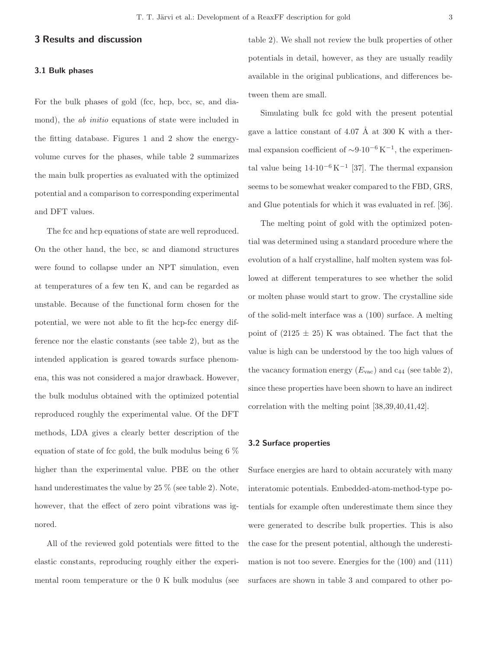## 3 Results and discussion

#### 3.1 Bulk phases

For the bulk phases of gold (fcc, hcp, bcc, sc, and diamond), the *ab initio* equations of state were included in the fitting database. Figures 1 and 2 show the energyvolume curves for the phases, while table 2 summarizes the main bulk properties as evaluated with the optimized potential and a comparison to corresponding experimental and DFT values.

The fcc and hcp equations of state are well reproduced. On the other hand, the bcc, sc and diamond structures were found to collapse under an NPT simulation, even at temperatures of a few ten K, and can be regarded as unstable. Because of the functional form chosen for the potential, we were not able to fit the hcp-fcc energy difference nor the elastic constants (see table 2), but as the intended application is geared towards surface phenomena, this was not considered a major drawback. However, the bulk modulus obtained with the optimized potential reproduced roughly the experimental value. Of the DFT methods, LDA gives a clearly better description of the equation of state of fcc gold, the bulk modulus being 6 % higher than the experimental value. PBE on the other hand underestimates the value by 25 % (see table 2). Note, however, that the effect of zero point vibrations was ignored.

All of the reviewed gold potentials were fitted to the elastic constants, reproducing roughly either the experimental room temperature or the 0 K bulk modulus (see table 2). We shall not review the bulk properties of other potentials in detail, however, as they are usually readily available in the original publications, and differences between them are small.

Simulating bulk fcc gold with the present potential gave a lattice constant of  $4.07 \text{ Å}$  at  $300 \text{ K}$  with a thermal expansion coefficient of  $\sim 9.10^{-6} \text{ K}^{-1}$ , the experimental value being  $14.10^{-6} K^{-1}$  [37]. The thermal expansion seems to be somewhat weaker compared to the FBD, GRS, and Glue potentials for which it was evaluated in ref. [36].

The melting point of gold with the optimized potential was determined using a standard procedure where the evolution of a half crystalline, half molten system was followed at different temperatures to see whether the solid or molten phase would start to grow. The crystalline side of the solid-melt interface was a (100) surface. A melting point of  $(2125 \pm 25)$  K was obtained. The fact that the value is high can be understood by the too high values of the vacancy formation energy  $(E_{\text{vac}})$  and  $c_{44}$  (see table 2), since these properties have been shown to have an indirect correlation with the melting point [38,39,40,41,42].

#### 3.2 Surface properties

Surface energies are hard to obtain accurately with many interatomic potentials. Embedded-atom-method-type potentials for example often underestimate them since they were generated to describe bulk properties. This is also the case for the present potential, although the underestimation is not too severe. Energies for the (100) and (111) surfaces are shown in table 3 and compared to other po-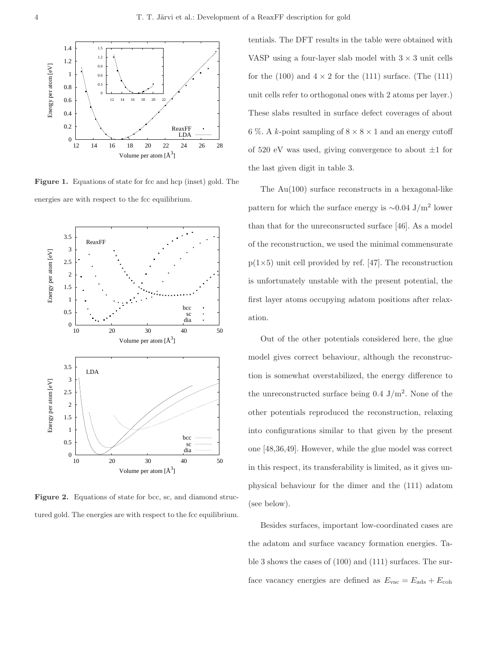

Figure 1. Equations of state for fcc and hcp (inset) gold. The energies are with respect to the fcc equilibrium.



Figure 2. Equations of state for bcc, sc, and diamond structured gold. The energies are with respect to the fcc equilibrium.

tentials. The DFT results in the table were obtained with VASP using a four-layer slab model with  $3 \times 3$  unit cells for the (100) and  $4 \times 2$  for the (111) surface. (The (111) unit cells refer to orthogonal ones with 2 atoms per layer.) These slabs resulted in surface defect coverages of about 6 %. A k-point sampling of  $8 \times 8 \times 1$  and an energy cutoff of 520 eV was used, giving convergence to about  $\pm 1$  for the last given digit in table 3.

The Au(100) surface reconstructs in a hexagonal-like pattern for which the surface energy is  $\sim 0.04$  J/m<sup>2</sup> lower than that for the unreconsructed surface [46]. As a model of the reconstruction, we used the minimal commensurate  $p(1\times5)$  unit cell provided by ref. [47]. The reconstruction is unfortunately unstable with the present potential, the first layer atoms occupying adatom positions after relaxation.

Out of the other potentials considered here, the glue model gives correct behaviour, although the reconstruction is somewhat overstabilized, the energy difference to the unreconstructed surface being  $0.4 \text{ J/m}^2$ . None of the other potentials reproduced the reconstruction, relaxing into configurations similar to that given by the present one [48,36,49]. However, while the glue model was correct in this respect, its transferability is limited, as it gives unphysical behaviour for the dimer and the (111) adatom (see below).

Besides surfaces, important low-coordinated cases are the adatom and surface vacancy formation energies. Table 3 shows the cases of (100) and (111) surfaces. The surface vacancy energies are defined as  $E_{\text{vac}} = E_{\text{ads}} + E_{\text{coh}}$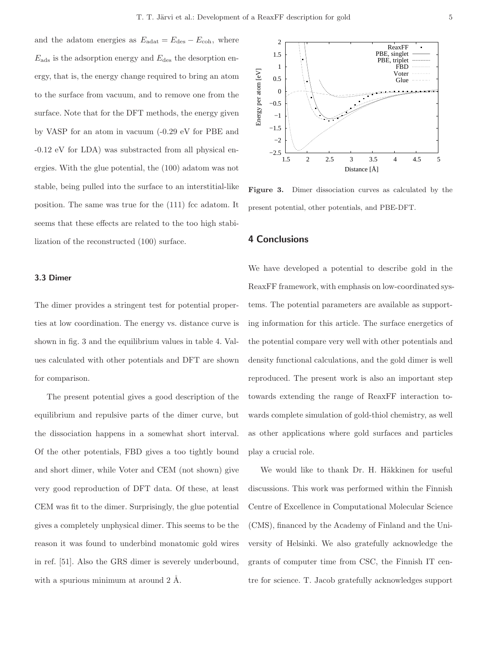and the adatom energies as  $E_{\text{data}} = E_{\text{des}} - E_{\text{coh}}$ , where  $E_{\text{ads}}$  is the adsorption energy and  $E_{\text{des}}$  the desorption energy, that is, the energy change required to bring an atom to the surface from vacuum, and to remove one from the surface. Note that for the DFT methods, the energy given by VASP for an atom in vacuum (-0.29 eV for PBE and -0.12 eV for LDA) was substracted from all physical energies. With the glue potential, the (100) adatom was not stable, being pulled into the surface to an interstitial-like position. The same was true for the (111) fcc adatom. It seems that these effects are related to the too high stabilization of the reconstructed (100) surface.

#### 3.3 Dimer

The dimer provides a stringent test for potential properties at low coordination. The energy vs. distance curve is shown in fig. 3 and the equilibrium values in table 4. Values calculated with other potentials and DFT are shown for comparison.

The present potential gives a good description of the equilibrium and repulsive parts of the dimer curve, but the dissociation happens in a somewhat short interval. Of the other potentials, FBD gives a too tightly bound and short dimer, while Voter and CEM (not shown) give very good reproduction of DFT data. Of these, at least CEM was fit to the dimer. Surprisingly, the glue potential gives a completely unphysical dimer. This seems to be the reason it was found to underbind monatomic gold wires in ref. [51]. Also the GRS dimer is severely underbound, with a spurious minimum at around  $2 \text{ Å}$ .



Figure 3. Dimer dissociation curves as calculated by the present potential, other potentials, and PBE-DFT.

### 4 Conclusions

We have developed a potential to describe gold in the ReaxFF framework, with emphasis on low-coordinated systems. The potential parameters are available as supporting information for this article. The surface energetics of the potential compare very well with other potentials and density functional calculations, and the gold dimer is well reproduced. The present work is also an important step towards extending the range of ReaxFF interaction towards complete simulation of gold-thiol chemistry, as well as other applications where gold surfaces and particles play a crucial role.

We would like to thank Dr. H. Häkkinen for useful discussions. This work was performed within the Finnish Centre of Excellence in Computational Molecular Science (CMS), financed by the Academy of Finland and the University of Helsinki. We also gratefully acknowledge the grants of computer time from CSC, the Finnish IT centre for science. T. Jacob gratefully acknowledges support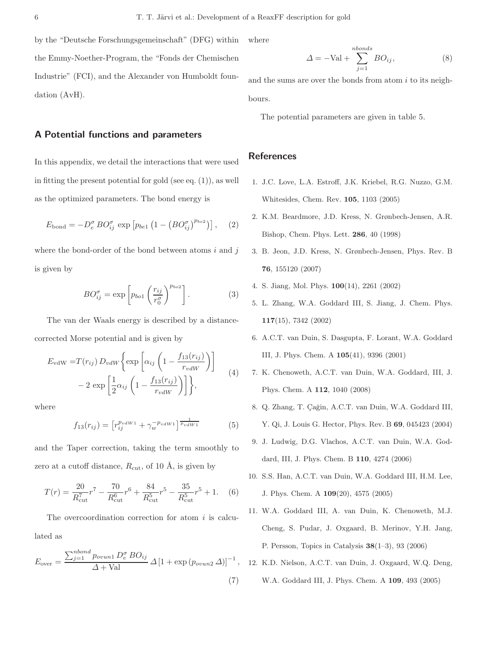by the "Deutsche Forschungsgemeinschaft" (DFG) within the Emmy-Noether-Program, the "Fonds der Chemischen Industrie" (FCI), and the Alexander von Humboldt foundation (AvH).

## A Potential functions and parameters

In this appendix, we detail the interactions that were used in fitting the present potential for gold (see eq.  $(1)$ ), as well as the optimized parameters. The bond energy is

$$
E_{\text{bond}} = -D_e^{\sigma} B O_{ij}^{\sigma} \exp \left[ p_{be1} \left( 1 - \left( B O_{ij}^{\sigma} \right)^{p_{be2}} \right) \right], \quad (2)
$$

where the bond-order of the bond between atoms  $i$  and  $j$ is given by

$$
BO_{ij}^{\sigma} = \exp\left[p_{bo1}\left(\frac{r_{ij}}{r_0^{\sigma}}\right)^{p_{bo2}}\right].
$$
 (3)

The van der Waals energy is described by a distancecorrected Morse potential and is given by

$$
E_{\text{vdW}} = T(r_{ij}) D_{vdW} \left\{ \exp \left[ \alpha_{ij} \left( 1 - \frac{f_{13}(r_{ij})}{r_{vdW}} \right) \right] - 2 \exp \left[ \frac{1}{2} \alpha_{ij} \left( 1 - \frac{f_{13}(r_{ij})}{r_{vdW}} \right) \right] \right\}, \tag{4}
$$

where

$$
f_{13}(r_{ij}) = \left[r_{ij}^{p_{vdW1}} + \gamma_w^{-p_{vdW1}}\right]^{\frac{1}{p_{vdW1}}} \tag{5}
$$

and the Taper correction, taking the term smoothly to zero at a cutoff distance,  $R_{\text{cut}}$ , of 10 Å, is given by

$$
T(r) = \frac{20}{R_{\text{cut}}^7} r^7 - \frac{70}{R_{\text{cut}}^6} r^6 + \frac{84}{R_{\text{cut}}^5} r^5 - \frac{35}{R_{\text{cut}}^5} r^5 + 1. \tag{6}
$$

The overcoordination correction for atom  $i$  is calculated as

$$
E_{\text{over}} = \frac{\sum_{j=1}^{nbond} p_{ovun1} D_e^{\sigma} B O_{ij}}{\Delta + \text{Val}} \Delta \left[ 1 + \exp \left( p_{ovun2} \Delta \right) \right]^{-1},\tag{7}
$$

where

$$
\Delta = -\text{Val} + \sum_{j=1}^{nbonds} BO_{ij},\tag{8}
$$

and the sums are over the bonds from atom  $i$  to its neighbours.

The potential parameters are given in table 5.

## References

- 1. J.C. Love, L.A. Estroff, J.K. Kriebel, R.G. Nuzzo, G.M. Whitesides, Chem. Rev. 105, 1103 (2005)
- 2. K.M. Beardmore, J.D. Kress, N. Grønbech-Jensen, A.R. Bishop, Chem. Phys. Lett. 286, 40 (1998)
- 3. B. Jeon, J.D. Kress, N. Grønbech-Jensen, Phys. Rev. B 76, 155120 (2007)
- 4. S. Jiang, Mol. Phys. 100(14), 2261 (2002)
- 5. L. Zhang, W.A. Goddard III, S. Jiang, J. Chem. Phys. 117(15), 7342 (2002)
- 6. A.C.T. van Duin, S. Dasgupta, F. Lorant, W.A. Goddard III, J. Phys. Chem. A 105(41), 9396 (2001)
- 7. K. Chenoweth, A.C.T. van Duin, W.A. Goddard, III, J. Phys. Chem. A 112, 1040 (2008)
- 8. Q. Zhang, T. Çağin, A.C.T. van Duin, W.A. Goddard III, Y. Qi, J. Louis G. Hector, Phys. Rev. B 69, 045423 (2004)
- 9. J. Ludwig, D.G. Vlachos, A.C.T. van Duin, W.A. Goddard, III, J. Phys. Chem. B 110, 4274 (2006)
- 10. S.S. Han, A.C.T. van Duin, W.A. Goddard III, H.M. Lee, J. Phys. Chem. A 109(20), 4575 (2005)
- 11. W.A. Goddard III, A. van Duin, K. Chenoweth, M.J. Cheng, S. Pudar, J. Oxgaard, B. Merinov, Y.H. Jang, P. Persson, Topics in Catalysis 38(1–3), 93 (2006)
- 12. K.D. Nielson, A.C.T. van Duin, J. Oxgaard, W.Q. Deng, W.A. Goddard III, J. Phys. Chem. A 109, 493 (2005)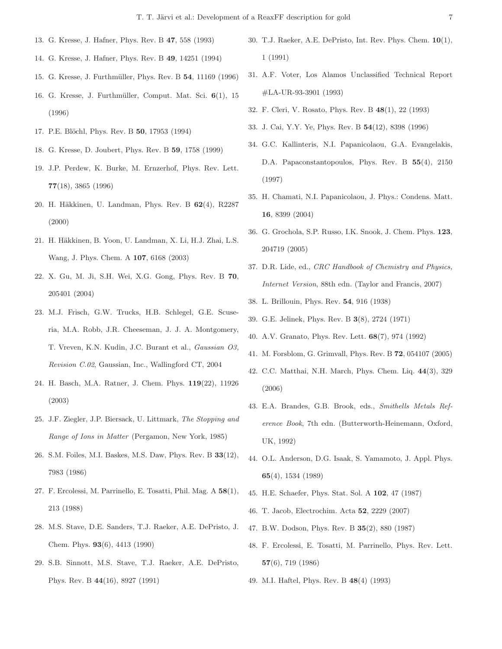- 13. G. Kresse, J. Hafner, Phys. Rev. B 47, 558 (1993)
- 14. G. Kresse, J. Hafner, Phys. Rev. B 49, 14251 (1994)
- 15. G. Kresse, J. Furthmüller, Phys. Rev. B 54, 11169 (1996)
- 16. G. Kresse, J. Furthm¨uller, Comput. Mat. Sci. 6(1), 15 (1996)
- 17. P.E. Blöchl, Phys. Rev. B 50, 17953 (1994)
- 18. G. Kresse, D. Joubert, Phys. Rev. B 59, 1758 (1999)
- 19. J.P. Perdew, K. Burke, M. Ernzerhof, Phys. Rev. Lett. 77(18), 3865 (1996)
- 20. H. Häkkinen, U. Landman, Phys. Rev. B 62(4), R2287 (2000)
- 21. H. Häkkinen, B. Yoon, U. Landman, X. Li, H.J. Zhai, L.S. Wang, J. Phys. Chem. A 107, 6168 (2003)
- 22. X. Gu, M. Ji, S.H. Wei, X.G. Gong, Phys. Rev. B 70, 205401 (2004)
- 23. M.J. Frisch, G.W. Trucks, H.B. Schlegel, G.E. Scuseria, M.A. Robb, J.R. Cheeseman, J. J. A. Montgomery, T. Vreven, K.N. Kudin, J.C. Burant et al., Gaussian O3, Revision C.02, Gaussian, Inc., Wallingford CT, 2004
- 24. H. Basch, M.A. Ratner, J. Chem. Phys. 119(22), 11926 (2003)
- 25. J.F. Ziegler, J.P. Biersack, U. Littmark, The Stopping and Range of Ions in Matter (Pergamon, New York, 1985)
- 26. S.M. Foiles, M.I. Baskes, M.S. Daw, Phys. Rev. B 33(12), 7983 (1986)
- 27. F. Ercolessi, M. Parrinello, E. Tosatti, Phil. Mag. A 58(1), 213 (1988)
- 28. M.S. Stave, D.E. Sanders, T.J. Raeker, A.E. DePristo, J. Chem. Phys. 93(6), 4413 (1990)
- 29. S.B. Sinnott, M.S. Stave, T.J. Raeker, A.E. DePristo, Phys. Rev. B 44(16), 8927 (1991)
- 30. T.J. Raeker, A.E. DePristo, Int. Rev. Phys. Chem. 10(1), 1 (1991)
- 31. A.F. Voter, Los Alamos Unclassified Technical Report #LA-UR-93-3901 (1993)
- 32. F. Cleri, V. Rosato, Phys. Rev. B 48(1), 22 (1993)
- 33. J. Cai, Y.Y. Ye, Phys. Rev. B 54(12), 8398 (1996)
- 34. G.C. Kallinteris, N.I. Papanicolaou, G.A. Evangelakis, D.A. Papaconstantopoulos, Phys. Rev. B 55(4), 2150 (1997)
- 35. H. Chamati, N.I. Papanicolaou, J. Phys.: Condens. Matt. 16, 8399 (2004)
- 36. G. Grochola, S.P. Russo, I.K. Snook, J. Chem. Phys. 123, 204719 (2005)
- 37. D.R. Lide, ed., CRC Handbook of Chemistry and Physics, Internet Version, 88th edn. (Taylor and Francis, 2007)
- 38. L. Brillouin, Phys. Rev. 54, 916 (1938)
- 39. G.E. Jelinek, Phys. Rev. B 3(8), 2724 (1971)
- 40. A.V. Granato, Phys. Rev. Lett. 68(7), 974 (1992)
- 41. M. Forsblom, G. Grimvall, Phys. Rev. B 72, 054107 (2005)
- 42. C.C. Matthai, N.H. March, Phys. Chem. Liq. 44(3), 329 (2006)
- 43. E.A. Brandes, G.B. Brook, eds., Smithells Metals Reference Book, 7th edn. (Butterworth-Heinemann, Oxford, UK, 1992)
- 44. O.L. Anderson, D.G. Isaak, S. Yamamoto, J. Appl. Phys. 65(4), 1534 (1989)
- 45. H.E. Schaefer, Phys. Stat. Sol. A 102, 47 (1987)
- 46. T. Jacob, Electrochim. Acta 52, 2229 (2007)
- 47. B.W. Dodson, Phys. Rev. B 35(2), 880 (1987)
- 48. F. Ercolessi, E. Tosatti, M. Parrinello, Phys. Rev. Lett. 57(6), 719 (1986)
- 49. M.I. Haftel, Phys. Rev. B 48(4) (1993)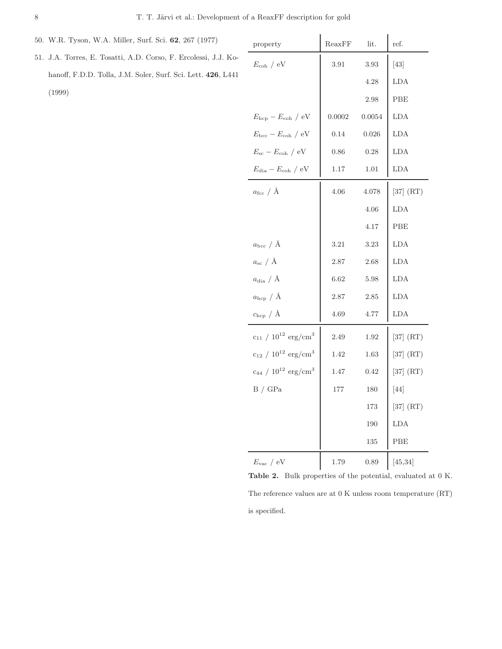- 50. W.R. Tyson, W.A. Miller, Surf. Sci. 62, 267 (1977)
- 51. J.A. Torres, E. Tosatti, A.D. Corso, F. Ercolessi, J.J. Kohanoff, F.D.D. Tolla, J.M. Soler, Surf. Sci. Lett. 426, L441 (1999)

| property                                      | $R$ eax $FF$ | lit.   | ref.          |
|-----------------------------------------------|--------------|--------|---------------|
| $E_{\rm coh}$ / eV                            | 3.91         | 3.93   | $[43]$        |
|                                               |              | 4.28   | <b>LDA</b>    |
|                                               |              | 2.98   | PBE           |
| $E_{\rm hcp} - E_{\rm coh} / \rm eV$          | 0.0002       | 0.0054 | <b>LDA</b>    |
| $E_{\text{bcc}} - E_{\text{coh}}$ / eV        | 0.14         | 0.026  | LDA           |
| $E_{\rm sc} - E_{\rm coh}$ / eV               | 0.86         | 0.28   | LDA           |
| $E_{\text{dia}} - E_{\text{coh}} / \text{eV}$ | 1.17         | 1.01   | LDA           |
| $a_{\text{fcc}}$ / $\AA$                      | 4.06         | 4.078  | [37] (RT)     |
|                                               |              | 4.06   | LDA           |
|                                               |              | 4.17   | PBE           |
| $a_{\text{bcc}}$ / $\AA$                      | 3.21         | 3.23   | <b>LDA</b>    |
| $a_{\rm sc} / \AA$                            | 2.87         | 2.68   | LDA           |
| $a_{\text{dia}} / \AA$                        | 6.62         | 5.98   | <b>LDA</b>    |
| $a_{\rm hcp}$ / Å                             | 2.87         | 2.85   | LDA           |
| $c_{\rm hcp}$ / $\rm \AA$                     | 4.69         | 4.77   | LDA           |
| $c_{11} / 10^{12}$ erg/cm <sup>3</sup>        | 2.49         | 1.92   | $[37]$ $(RT)$ |
| $c_{12}$ / $10^{12}$ erg/cm <sup>3</sup>      | 1.42         | 1.63   | [37] (RT)     |
| $c_{44}$ / $10^{12}$ erg/cm <sup>3</sup>      | 1.47         | 0.42   | [37] (RT)     |
| B / GPa                                       | 177          | 180    | $[44]$        |
|                                               |              | 173    | $[37]$ (RT)   |
|                                               |              | 190    | LDA           |
|                                               |              | 135    | PBE           |
| $E_{\rm vac}$ / $\rm eV$                      | 1.79         | 0.89   | [45, 34]      |

Table 2. Bulk properties of the potential, evaluated at 0 K. The reference values are at 0 K unless room temperature (RT) is specified.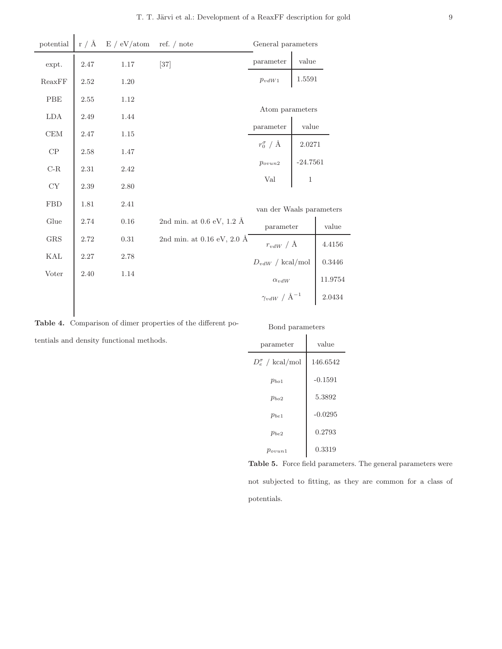| $\rm potential$ | r / A    | E / eV/atom | ref. $/$ note                                   | General parameters          |         |                |
|-----------------|----------|-------------|-------------------------------------------------|-----------------------------|---------|----------------|
| expt.           | $2.47\,$ | $1.17\,$    | $[37]$                                          | parameter                   | value   |                |
| ReaxFF          | 2.52     | 1.20        |                                                 | $p_{vdW1}$                  | 1.5591  |                |
| ${\rm PBE}$     | 2.55     | 1.12        |                                                 |                             |         |                |
| LDA             | 2.49     | 1.44        |                                                 | Atom parameters             |         |                |
| CEM             | 2.47     | 1.15        |                                                 | parameter                   | value   |                |
| $\cal CP$       | 2.58     | 1.47        |                                                 | $r_0^\sigma$ / Å            | 2.0271  |                |
| $C-R$           | 2.31     | 2.42        |                                                 | $-24.7561$<br>$p_{ovun2}$   |         |                |
| ${\rm CY}$      | 2.39     | $2.80\,$    |                                                 | Val                         | $\,1\,$ |                |
|                 |          |             |                                                 |                             |         |                |
| <b>FBD</b>      | 1.81     | 2.41        |                                                 | van der Waals parameters    |         |                |
| Glue            | 2.74     | $0.16\,$    | 2nd min. at $0.6 \text{ eV}$ , $1.2 \text{ Å}$  | parameter                   |         | $_{\rm value}$ |
| $_{\rm GRS}$    | 2.72     | 0.31        | 2nd min. at $0.16 \text{ eV}$ , $2.0 \text{ Å}$ | $r_{vdW} / \AA$             |         | $4.4156\,$     |
| KAL             | $2.27\,$ | $2.78\,$    |                                                 | $D_{vdW}$ / kcal/mol        |         | $0.3446\,$     |
| Voter           | 2.40     | 1.14        |                                                 | $\alpha_{vdW}$              |         | 11.9754        |
|                 |          |             |                                                 | $\gamma_{vdW}$ / $\AA^{-1}$ |         | 2.0434         |
|                 |          |             |                                                 |                             |         |                |

Table 4. Comparison of dimer properties of the different potentials and density functional methods.

| Bond parameters           |           |  |  |  |  |  |  |  |
|---------------------------|-----------|--|--|--|--|--|--|--|
| parameter                 | value     |  |  |  |  |  |  |  |
| $D_e^{\sigma}$ / kcal/mol | 146.6542  |  |  |  |  |  |  |  |
| $p_{bo1}$                 | $-0.1591$ |  |  |  |  |  |  |  |
| $p_{ho2}$                 | 5.3892    |  |  |  |  |  |  |  |
| $p_{be1}$                 | $-0.0295$ |  |  |  |  |  |  |  |
| $p_{be2}$                 | 0.2793    |  |  |  |  |  |  |  |
| $p_{ovun1}$               | 0.3319    |  |  |  |  |  |  |  |

Table 5. Force field parameters. The general parameters were not subjected to fitting, as they are common for a class of potentials.